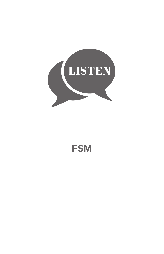

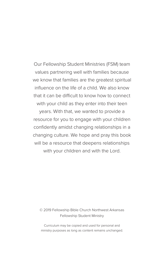Our Fellowship Student Ministries (FSM) team values partnering well with families because we know that families are the greatest spiritual influence on the life of a child. We also know that it can be difficult to know how to connect with your child as they enter into their teen years. With that, we wanted to provide a

resource for you to engage with your children confidently amidst changing relationships in a changing culture. We hope and pray this book will be a resource that deepens relationships with your children and with the Lord.

#### © 2019 Fellowship Bible Church Northwest Arkansas Fellowship Student Ministry

Curriculum may be copied and used for personal and ministry purposes as long as content remains unchanged.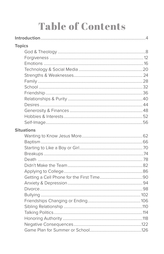# **Table of Contents**

| <b>Topics</b>     |  |
|-------------------|--|
|                   |  |
|                   |  |
|                   |  |
|                   |  |
|                   |  |
|                   |  |
|                   |  |
|                   |  |
|                   |  |
|                   |  |
|                   |  |
|                   |  |
|                   |  |
| <b>Situations</b> |  |
|                   |  |
|                   |  |
|                   |  |
|                   |  |
|                   |  |
|                   |  |
|                   |  |
|                   |  |
|                   |  |
|                   |  |
|                   |  |
|                   |  |
|                   |  |
|                   |  |
|                   |  |
|                   |  |
|                   |  |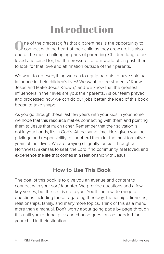# Introduction

One of the greatest gifts that a parent has is the opportunity to connect with the heart of their child as they grow up. It's also one of the most challenging parts of parenting. Children long to be loved and cared for, but the pressures of our world often push them to look for that love and affirmation outside of their parents.

We want to do everything we can to equip parents to have spiritual influence in their children's lives! We want to see students "Know Jesus and Make Jesus Known," and we know that the greatest influencers in their lives are you: their parents. As our team prayed and processed how we can do our jobs better, the idea of this book began to take shape.

As you go through these last few years with your kids in your home, we hope that this resource makes connecting with them and pointing them to Jesus that much richer. Remember that their salvation is not in your hands; it's in God's. At the same time, He's given you the privilege and responsibility to shepherd them for the most formative years of their lives. We are praying diligently for kids throughout Northwest Arkansas to seek the Lord, find community, feel loved, and experience the life that comes in a relationship with Jesus!

#### **How to Use This Book**

The goal of this book is to give you an avenue and content to connect with your son/daughter. We provide questions and a few key verses, but the rest is up to you. You'll find a wide range of questions including those regarding theology, friendships, finances, relationships, family, and many more topics. Think of this as a menu more than a manual. Don't worry about going page by page through this until you're done; pick and choose questions as needed for your child in their situation.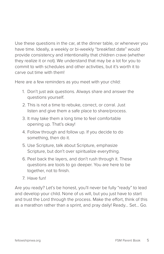Use these questions in the car, at the dinner table, or whenever you have time. Ideally, a weekly or bi-weekly "breakfast date" would provide consistency and intentionality that children crave (whether they realize it or not). We understand that may be a lot for you to commit to with schedules and other activities, but it's worth it to carve out time with them!

Here are a few reminders as you meet with your child:

- 1. Don't just ask questions. Always share and answer the questions yourself.
- 2. This is not a time to rebuke, correct, or corral. Just listen and give them a safe place to share/process.
- 3. It may take them a long time to feel comfortable opening up. That's okay!
- 4. Follow through and follow up. If you decide to do something, then do it.
- 5. Use Scripture, talk about Scripture, emphasize Scripture, but don't over spiritualize everything.
- 6. Peel back the layers, and don't rush through it. These questions are tools to go deeper. You are here to be together, not to finish.
- 7. Have fun!

Are you ready? Let's be honest, you'll never be fully "ready" to lead and develop your child. None of us will, but you just have to start and trust the Lord through the process. Make the effort, think of this as a marathon rather than a sprint, and pray daily! Ready… Set… Go.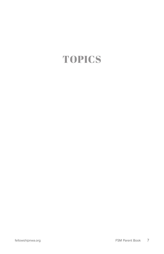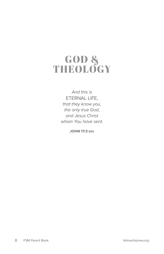### GOD & THEOLOGY

*And this is*  ETERNAL LIFE, *that they know you, the only true God, and Jesus Christ whom You have sent.*

**JOHN 17:3 ESV**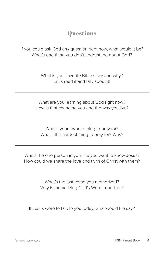If you could ask God any question right now, what would it be? What's one thing you don't understand about God?

> What is your favorite Bible story and why? Let's read it and talk about it!

What are you learning about God right now? How is that changing you and the way you live?

What's your favorite thing to pray for? What's the hardest thing to pray for? Why?

Who's the one person in your life you want to know Jesus? How could we share the love and truth of Christ with them?

> What's the last verse you memorized? Why is memorizing God's Word important?

If Jesus were to talk to you today, what would He say?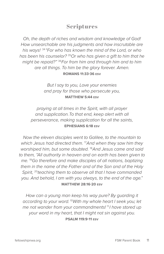*Oh, the depth of riches and wisdom and knowledge of God! How unsearchable are his judgments and how inscrutable are his ways!* <sup>34</sup>*"For who has known the mind of the Lord, or who has been his counselor?* <sup>35</sup>*Or who has given a gift to him that he might be repaid?"* <sup>36</sup>*For from him and through him and to him are all things. To him be the glory forever. Amen.* **ROMANS 11:33-36 ESV**

> *But I say to you, Love your enemies and pray for those who persecute you,* **MATTHEW 5:44 ESV**

*praying at all times in the Spirit, with all prayer and supplication. To that end, keep alert with all perseverance, making supplication for all the saints,* **EPHESIANS 6:18 ESV**

*Now the eleven disciples went to Galilee, to the mountain to which Jesus had directed them.* <sup>17</sup>*And when they saw him they worshiped him, but some doubted.* <sup>18</sup>*And Jesus came and said to them, "All authority in heaven and on earth has been given to me.* <sup>19</sup>*Go therefore and make disciples of all nations, baptizing them in the name of the Father and of the Son and of the Holy Spirit,* <sup>20</sup>*teaching them to observe all that I have commanded you. And behold, I am with you always, to the end of the age."* **MATTHEW 28:16-20 ESV**

*How can a young man keep his way pure? By guarding it according to your word.* <sup>10</sup>*With my whole heart I seek you; let me not wander from your commandments!*<sup>11</sup>*I have stored up your word in my heart, that I might not sin against you*. **PSALM 119:9-11 ESV**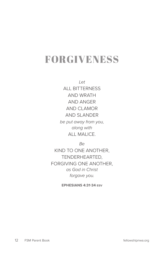### FORGIVENESS

*Let*  ALL BITTERNESS AND WRATH AND ANGER AND CLAMOR AND SLANDER

*be put away from you, along with*  ALL MALICE.

*Be* 

KIND TO ONE ANOTHER, TENDERHEARTED, FORGIVING ONE ANOTHER, *as God in Christ forgave you.*

**EPHESIANS 4:31-34 ESV**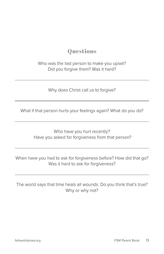Who was the last person to make you upset? Did you forgive them? Was it hard?

Why does Christ call us to forgive?

What if that person hurts your feelings again? What do you do?

Who have you hurt recently? Have you asked for forgiveness from that person?

When have you had to ask for forgiveness before? How did that go? Was it hard to ask for forgiveness?

The world says that time heals all wounds. Do you think that's true? Why or why not?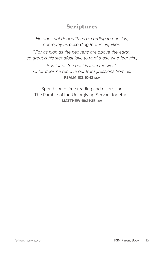*He does not deal with us according to our sins, nor repay us according to our iniquities.* 

<sup>11</sup>*For as high as the heavens are above the earth, so great is his steadfast love toward those who fear him;* 

<sup>12</sup>*as far as the east is from the west, so far does he remove our transgressions from us.*  **PSALM 103:10-12 ESV**

Spend some time reading and discussing The Parable of the Unforgiving Servant together. **MATTHEW 18:21-35 ESV**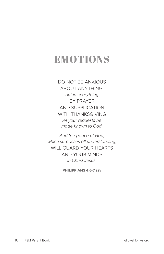### EMOTIONS

DO NOT BE ANXIOUS ABOUT ANYTHING, *but in everything*  BY PRAYER AND SUPPLICATION WITH THANKSGIVING *let your requests be made known to God.* 

*And the peace of God, which surpasses all understanding,*  WILL GUARD YOUR HEARTS AND YOUR MINDS *in Christ Jesus.*

**PHILIPPIANS 4:6-7 ESV**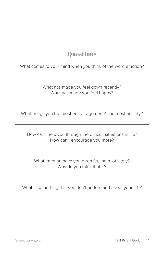What comes to your mind when you think of the word emotion?

What has made you feel down recently? What has made you feel happy?

What brings you the most encouragement? The most anxiety?

How can I help you through the difficult situations in life? How can I encourage you more?

What emotion have you been feeling a lot lately? Why do you think that is?

What is something that you don't understand about yourself?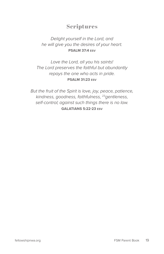#### *Delight yourself in the Lord, and he will give you the desires of your heart.*  **PSALM 37:4 ESV**

*Love the Lord, all you his saints! The Lord preserves the faithful but abundantly repays the one who acts in pride.*  **PSALM 31:23 ESV**

*But the fruit of the Spirit is love, joy, peace, patience, kindness, goodness, faithfulness,* <sup>23</sup>*gentleness, self-control; against such things there is no law.*  **GALATIANS 5:22-23 ESV**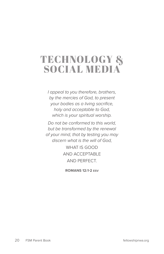### TECHNOLOGY & SOCIAL MEDIA

*I appeal to you therefore, brothers, by the mercies of God, to present your bodies as a living sacrifice, holy and acceptable to God, which is your spiritual worship.* 

*Do not be conformed to this world, but be transformed by the renewal of your mind, that by testing you may discern what is the will of God,* 

> WHAT IS GOOD AND ACCEPTABLE AND PERFECT.

**ROMANS 12:1-2 ESV**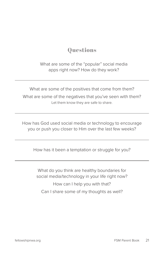What are some of the "popular" social media apps right now? How do they work?

What are some of the positives that come from them? What are some of the negatives that you've seen with them? Let them know they are safe to share.

How has God used social media or technology to encourage you or push you closer to Him over the last few weeks?

How has it been a temptation or struggle for you?

What do you think are healthy boundaries for social media/technology in your life right now?

How can I help you with that? Can I share some of my thoughts as well?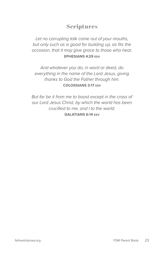*Let no corrupting talk come out of your mouths, but only such as is good for building up, as fits the occasion, that it may give grace to those who hear.*  **EPHESIANS 4:29 ESV**

*And whatever you do, in word or deed, do everything in the name of the Lord Jesus, giving thanks to God the Father through him.*  **COLOSSIANS 3:17 ESV**

*But far be it from me to boast except in the cross of our Lord Jesus Christ, by which the world has been crucified to me, and I to the world.*  **GALATIANS 6:14 ESV**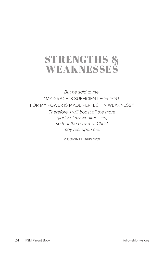### STRENGTHS & WEAKNESSES

*But he said to me,*  "MY GRACE IS SUFFICIENT FOR YOU, FOR MY POWER IS MADE PERFECT IN WEAKNESS."

> *Therefore, I will boast all the more gladly of my weaknesses, so that the power of Christ may rest upon me.*

> > **2 CORINTHIANS 12:9**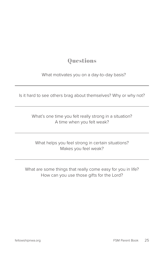What motivates you on a day-to-day basis?

Is it hard to see others brag about themselves? Why or why not?

What's one time you felt really strong in a situation? A time when you felt weak?

What helps you feel strong in certain situations? Makes you feel weak?

What are some things that really come easy for you in life? How can you use those gifts for the Lord?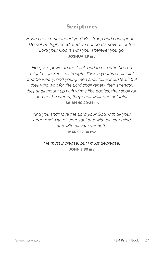*Have I not commanded you? Be strong and courageous. Do not be frightened, and do not be dismayed, for the Lord your God is with you wherever you go.*  **JOSHUA 1:9 ESV**

*He gives power to the faint, and to him who has no might he increases strength.* <sup>30</sup>*Even youths shall faint and be weary, and young men shall fall exhausted;* <sup>31</sup>*but they who wait for the Lord shall renew their strength; they shall mount up with wings like eagles; they shall run and not be weary; they shall walk and not faint.*  **ISAIAH 40:29-31 ESV**

*And you shall love the Lord your God with all your heart and with all your soul and with all your mind and with all your strength.*  **MARK 12:30 ESV**

> *He must increase, but I must decrease.*  **JOHN 3:30 ESV**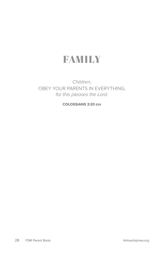### FAMILY

#### *Children,*  OBEY YOUR PARENTS IN EVERYTHING, *for this pleases the Lord.*

**COLOSSIANS 3:20 ESV**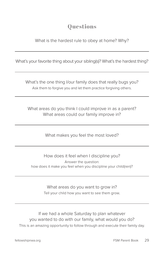What is the hardest rule to obey at home? Why?

What's your favorite thing about your sibling(s)? What's the hardest thing?

What's the one thing I/our family does that really bugs you? Ask them to forgive you and let them practice forgiving others.

What areas do you think I could improve in as a parent? What areas could our family improve in?

What makes you feel the most loved?

How does it feel when I discipline you? Answer the question: how does it make you feel when you discipline your child(ren)?

> What areas do you want to grow in? Tell your child how you want to see them grow.

If we had a whole Saturday to plan whatever you wanted to do with our family, what would you do? This is an amazing opportunity to follow through and execute their family day.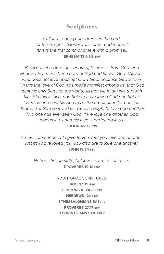*Children, obey your parents in the Lord, for this is right.* <sup>2</sup> *"Honor your father and mother" (this is the first commandment with a promise),*  **EPHESIANS 6:1-2 ESV**

*Beloved, let us love one another, for love is from God, and whoever loves has been born of God and knows God.* <sup>8</sup>*Anyone who does not love does not know God, because God is love.*  <sup>9</sup>*In this the love of God was made manifest among us, that God sent his only Son into the world, so that we might live through him.* <sup>10</sup>*In this is love, not that we have loved God but that he loved us and sent his Son to be the propitiation for our sins.* 11*Beloved, if God so loved us, we also ought to love one another.* <sup>12</sup>*No one has ever seen God; if we love one another, God abides in us and his love is perfected in us.*  **1 JOHN 4:7-12 ESV**

*A new commandment I give to you, that you love one another: just as I have loved you, you also are to love one another.*  **JOHN 13:34 ESV**

> *Hatred stirs up strife, but love covers all offenses.*  **PROVERBS 10:12 ESV**

> > ADDITIONAL SCRIPTURES: **JAMES 1:19 ESV HEBREWS 10:24-25 ESV HEBREWS 12:1 ESV 1 THESSALONIANS 5:11 ESV PROVERBS 27:17 ESV 1 CORINTHIANS 13:4-7 ESV**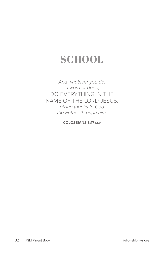# **SCHOOL**

*And whatever you do, in word or deed,*  DO EVERYTHING IN THE NAME OF THE LORD JESUS, *giving thanks to God the Father through him.*

**COLOSSIANS 3:17 ESV**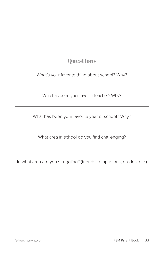What's your favorite thing about school? Why?

Who has been your favorite teacher? Why?

What has been your favorite year of school? Why?

What area in school do you find challenging?

In what area are you struggling? (friends, temptations, grades, etc.)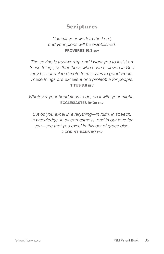#### *Commit your work to the Lord, and your plans will be established.*  **PROVERBS 16:3 ESV**

*The saying is trustworthy, and I want you to insist on these things, so that those who have believed in God may be careful to devote themselves to good works. These things are excellent and profitable for people.*  **TITUS 3:8 ESV**

*Whatever your hand finds to do, do it with your might...*  **ECCLESIASTES 9:10a ESV**

*But as you excel in everything—in faith, in speech, in knowledge, in all earnestness, and in our love for you—see that you excel in this act of grace also.*  **2 CORINTHIANS 8:7 ESV**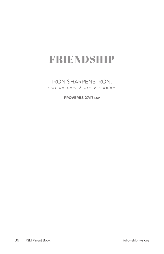# FRIENDSHIP

IRON SHARPENS IRON, *and one man sharpens another.*

**PROVERBS 27:17 ESV**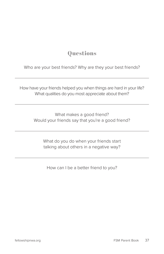Who are your best friends? Why are they your best friends?

How have your friends helped you when things are hard in your life? What qualities do you most appreciate about them?

> What makes a good friend? Would your friends say that you're a good friend?

What do you do when your friends start talking about others in a negative way?

How can I be a better friend to you?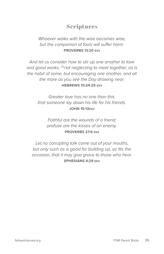*Whoever walks with the wise becomes wise, but the companion of fools will suffer harm.*  **PROVERBS 13:20 ESV**

*And let us consider how to stir up one another to love and good works,* <sup>25</sup>*not neglecting to meet together, as is the habit of some, but encouraging one another, and all the more as you see the Day drawing near.*  **HEBREWS 10:24-25 ESV**

*Greater love has no one than this, that someone lay down his life for his friends.*  **JOHN 15:13ESV**

> *Faithful are the wounds of a friend; profuse are the kisses of an enemy.*  **PROVERBS 27:6 ESV**

*Let no corrupting talk come out of your mouths, but only such as is good for building up, as fits the occasion, that it may give grace to those who hear.*  **EPHESIANS 4:29 ESV**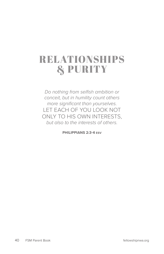# RELATIONSHIPS & PURITY

*Do nothing from selfish ambition or conceit, but in humility count others more significant than yourselves.*  LET EACH OF YOU LOOK NOT ONLY TO HIS OWN INTERESTS, *but also to the interests of others.*

**PHILIPPIANS 2:3-4 ESV**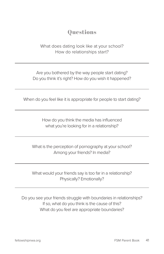What does dating look like at your school? How do relationships start?

Are you bothered by the way people start dating? Do you think it's right? How do you wish it happened?

When do you feel like it is appropriate for people to start dating?

How do you think the media has influenced what you're looking for in a relationship?

What is the perception of pornography at your school? Among your friends? In media?

What would your friends say is too far in a relationship? Physically? Emotionally?

Do you see your friends struggle with boundaries in relationships? If so, what do you think is the cause of this? What do you feel are appropriate boundaries?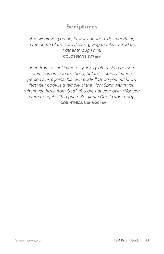*And whatever you do, in word or deed, do everything in the name of the Lord Jesus, giving thanks to God the Father through him.*  **COLOSSIANS 3:17 ESV**

*Flee from sexual immorality. Every other sin a person commits is outside the body, but the sexually immoral person sins against his own body.* <sup>19</sup>*Or do you not know that your body is a temple of the Holy Spirit within you, whom you have from God? You are not your own,* <sup>20</sup>*for you were bought with a price. So glorify God in your body.*  **1 CORINTHIANS 6:18-20 ESV**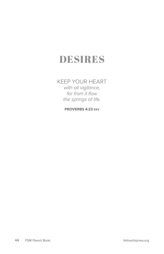# DESIRES

#### KEEP YOUR HEART *with all vigilance, for from it flow the springs of life.*

**PROVERBS 4:23 ESV**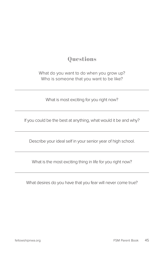What do you want to do when you grow up? Who is someone that you want to be like?

What is most exciting for you right now?

If you could be the best at anything, what would it be and why?

Describe your ideal self in your senior year of high school.

What is the most exciting thing in life for you right now?

What desires do you have that you fear will never come true?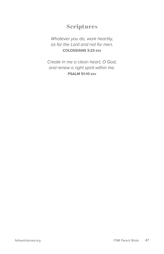*Whatever you do, work heartily, as for the Lord and not for men,*  **COLOSSIANS 3:23 ESV**

*Create in me a clean heart, O God, and renew a right spirit within me.*  **PSALM 51:10 ESV**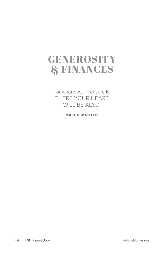## GENEROSITY & FINANCES

For where your treasure is, THERE YOUR HEART WILL BE ALSO*.*

**MATTHEW 6:21 ESV**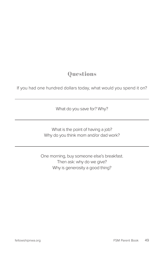If you had one hundred dollars today, what would you spend it on?

What do you save for? Why?

What is the point of having a job? Why do you think mom and/or dad work?

One morning, buy someone else's breakfast. Then ask: why do we give? Why is generosity a good thing?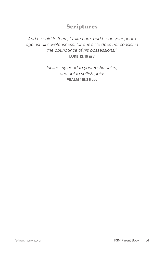#### *And he said to them, "Take care, and be on your guard against all covetousness, for one's life does not consist in the abundance of his possessions."* **LUKE 12:15 ESV**

*Incline my heart to your testimonies, and not to selfish gain!*  **PSALM 119:36 ESV**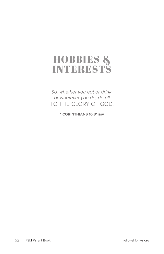## HOBBIES & **INTERESTS**

*So, whether you eat or drink, or whatever you do, do all* TO THE GLORY OF GOD.

**1 CORINTHIANS 10:31 ESV**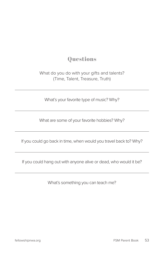What do you do with your gifts and talents? (Time, Talent, Treasure, Truth)

What's your favorite type of music? Why?

What are some of your favorite hobbies? Why?

If you could go back in time, when would you travel back to? Why?

If you could hang out with anyone alive or dead, who would it be?

What's something you can teach me?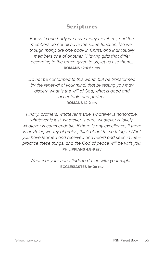*For as in one body we have many members, and the members do not all have the same function*, <sup>5</sup>*so we, though many, are one body in Christ, and individually members one of another.* <sup>6</sup>*Having gifts that differ according to the grace given to us, let us use them…* **ROMANS 12:4-6a ESV**

*Do not be conformed to this world, but be transformed by the renewal of your mind, that by testing you may discern what is the will of God, what is good and acceptable and perfect.*  **ROMANS 12:2 ESV**

*Finally, brothers, whatever is true, whatever is honorable, whatever is just, whatever is pure, whatever is lovely, whatever is commendable, if there is any excellence, if there is anything worthy of praise, think about these things.* <sup>9</sup>*What you have learned and received and heard and seen in me practice these things, and the God of peace will be with you.* **PHILIPPIANS 4:8-9 ESV**

*Whatever your hand finds to do, do with your might…* **ECCLESIASTES 9:10a ESV**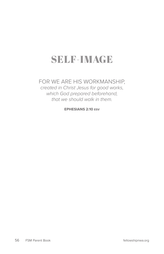# SELF-IMAGE

#### FOR WE ARE HIS WORKMANSHIP, *created in Christ Jesus for good works, which God prepared beforehand, that we should walk in them.*

**EPHESIANS 2:10 ESV**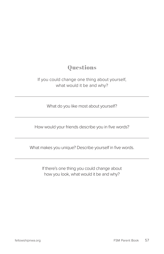#### If you could change one thing about yourself, what would it be and why?

What do you like most about yourself?

How would your friends describe you in five words?

What makes you unique? Describe yourself in five words.

If there's one thing you could change about how you look, what would it be and why?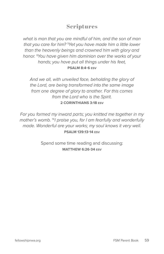*what is man that you are mindful of him, and the son of man*  that you care for him? <sup>5</sup>Yet you have made him a little lower *than the heavenly beings and crowned him with glory and honor.* <sup>6</sup> *You have given him dominion over the works of your hands; you have put all things under his feet,*  **PSALM 8:4-6 ESV**

*And we all, with unveiled face, beholding the glory of the Lord, are being transformed into the same image from one degree of glory to another. For this comes from the Lord who is the Spirit.*  **2 CORINTHIANS 3:18 ESV**

*For you formed my inward parts; you knitted me together in my mother's womb.* <sup>14</sup>*I praise you, for I am fearfully and wonderfully made. Wonderful are your works; my soul knows it very well.* **PSALM 139:13-14 ESV**

> Spend some time reading and discussing: **MATTHEW 6:26-34 ESV**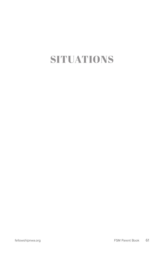# SITUATIONS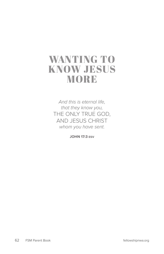## WANTING TO KNOW JESUS MORE

*And this is eternal life, that they know you,*  THE ONLY TRUE GOD, AND JESUS CHRIST *whom you have sent.* 

**JOHN 17:3 ESV**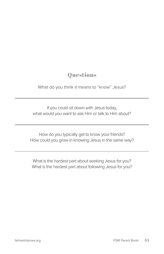What do you think it means to "know" Jesus?

If you could sit down with Jesus today, what would you want to ask Him or talk to Him about?

How do you typically get to know your friends? How could you grow in knowing Jesus in the same way?

What is the hardest part about seeking Jesus for you? What is the hardest part about following Jesus for you?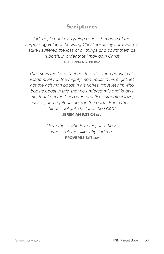*Indeed, I count everything as loss because of the surpassing value of knowing Christ Jesus my Lord. For his sake I suffered the loss of all things and count them as rubbish, in order that I may gain Christ*  **PHILIPPIANS 3:8 ESV**

*Thus says the Lord: "Let not the wise man boast in his wisdom, let not the mighty man boast in his might, let not the rich man boast in his riches,* <sup>24</sup>*but let him who boasts boast in this, that he understands and knows me, that I am the Lord who practices steadfast love, justice, and righteousness in the earth. For in these things I delight, declares the Lord."*  **JEREMIAH 9:23-24 ESV**

> *I love those who love me, and those who seek me diligently find me.* **PROVERBS 8:17 ESV**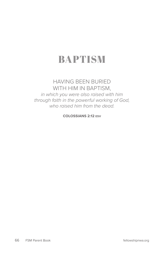# BAPTISM

#### HAVING BEEN BURIED WITH HIM IN BAPTISM,

*in which you were also raised with him through faith in the powerful working of God, who raised him from the dead.* 

**COLOSSIANS 2:12 ESV**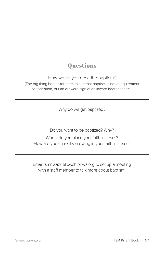How would you describe baptism?

(The big thing here is for them to see that baptism is not a requirement for salvation, but an outward sign of an inward heart change.)

Why do we get baptized?

Do you want to be baptized? Why?

When did you place your faith in Jesus? How are you currently growing in your faith in Jesus?

Email fsmnwa@fellowshipnwa.org to set up a meeting with a staff member to talk more about baptism.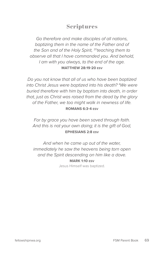*Go therefore and make disciples of all nations, baptizing them in the name of the Father and of the Son and of the Holy Spirit,* <sup>20</sup>*teaching them to observe all that I have commanded you. And behold, I am with you always, to the end of the age.*  **MATTHEW 28:19-20 ESV**

*Do you not know that all of us who have been baptized into Christ Jesus were baptized into his death?* <sup>4</sup> *We were buried therefore with him by baptism into death, in order that, just as Christ was raised from the dead by the glory of the Father, we too might walk in newness of life.*  **ROMANS 6:3-4 ESV**

*For by grace you have been saved through faith. And this is not your own doing; it is the gift of God,* **EPHESIANS 2:8 ESV**

*And when he came up out of the water, immediately he saw the heavens being torn open and the Spirit descending on him like a dove.*

> **MARK 1:10 ESV** Jesus Himself was baptized.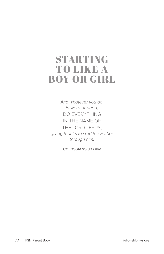## STARTING TO LIKE A BOY OR GIRL

*And whatever you do, in word or deed,*  DO EVERYTHING IN THE NAME OF THE LORD JESUS, *giving thanks to God the Father through him.* 

**COLOSSIANS 3:17 ESV**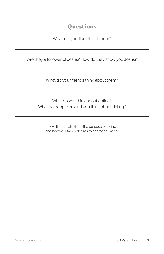#### What do you like about them?

Are they a follower of Jesus? How do they show you Jesus?

What do your friends think about them?

What do you think about dating? What do people around you think about dating?

Take time to talk about the purpose of dating and how your family desires to approach dating.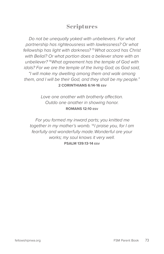*Do not be unequally yoked with unbelievers. For what partnership has righteousness with lawlessness? Or what fellowship has light with darkness?* <sup>15</sup>*What accord has Christ with Belial? Or what portion does a believer share with an unbeliever?* <sup>16</sup>*What agreement has the temple of God with idols? For we are the temple of the living God; as God said, "I will make my dwelling among them and walk among them, and I will be their God, and they shall be my people."*  **2 CORINTHIANS 6:14-16 ESV**

> *Love one another with brotherly affection. Outdo one another in showing honor.*  **ROMANS 12:10 ESV**

 *For you formed my inward parts; you knitted me together in my mother's womb.* <sup>14</sup>*I praise you, for I am fearfully and wonderfully made. Wonderful are your works; my soul knows it very well.*  **PSALM 139:13-14 ESV**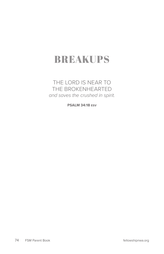# BREAKUPS

#### THE LORD IS NEAR TO THE BROKENHEARTED *and saves the crushed in spirit.*

**PSALM 34:18 ESV**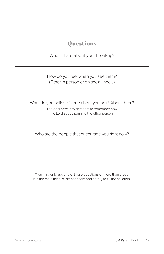What's hard about your breakup?

How do you feel when you see them? (Either in person or on social media)

What do you believe is true about yourself? About them?

The goal here is to get them to remember how the Lord sees them and the other person.

Who are the people that encourage you right now?

\*You may only ask one of these questions or more than these, but the main thing is listen to them and not try to fix the situation.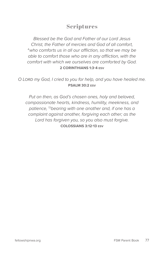*Blessed be the God and Father of our Lord Jesus Christ, the Father of mercies and God of all comfort,*  <sup>4</sup>*who comforts us in all our affliction, so that we may be able to comfort those who are in any affliction, with the comfort with which we ourselves are comforted by God.*  **2 CORINTHIANS 1:3-4 ESV**

*O Lord my God, I cried to you for help, and you have healed me.*  **PSALM 30:2 ESV**

*Put on then, as God's chosen ones, holy and beloved, compassionate hearts, kindness, humility, meekness, and patience,* <sup>13</sup>*bearing with one another and, if one has a complaint against another, forgiving each other; as the Lord has forgiven you, so you also must forgive.* **COLOSSIANS 3:12-13 ESV**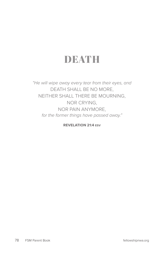# DEATH

*"He will wipe away every tear from their eyes, and* DEATH SHALL BE NO MORE, NEITHER SHALL THERE BE MOURNING, NOR CRYING, NOR PAIN ANYMORE, *for the former things have passed away."*

**REVELATION 21:4 ESV**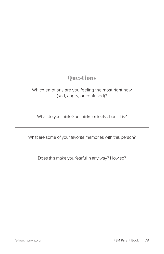Which emotions are you feeling the most right now (sad, angry, or confused)?

What do you think God thinks or feels about this?

What are some of your favorite memories with this person?

Does this make you fearful in any way? How so?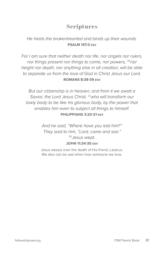#### *He heals the brokenhearted and binds up their wounds.*  **PSALM 147:3 ESV**

*For I am sure that neither death nor life, nor angels nor rulers, nor things present nor things to come, nor powers,* <sup>39</sup>*nor height nor depth, nor anything else in all creation, will be able to separate us from the love of God in Christ Jesus our Lord.*  **ROMANS 8:38-39 ESV**

*But our citizenship is in heaven, and from it we await a Savior, the Lord Jesus Christ,* <sup>21</sup>*who will transform our lowly body to be like his glorious body, by the power that enables him even to subject all things to himself.* **PHILIPPIANS 3:20-21 ESV**

> *And he said, "Where have you laid him?" They said to him, "Lord, come and see."* <sup>35</sup>*Jesus wept.* **JOHN 11:34-35 ESV**

> Jesus weeps over the death of His friend, Lazarus. We also can be sad when lose someone we love.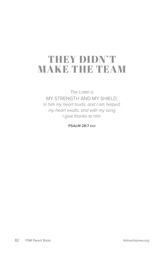# THEY DIDN'T MAKE THE TEAM

*The Lord is* MY STRENGTH AND MY SHIELD; *in him my heart trusts, and I am helped; my heart exults, and with my song I give thanks to him.* 

**PSALM 28:7 ESV**

82 FSM Parent Book fellowshipnwa.org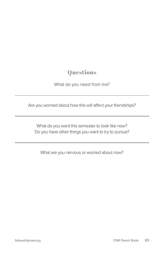What do you need from me?

Are you worried about how this will affect your friendships?

What do you want this semester to look like now? Do you have other things you want to try to pursue?

What are you nervous or worried about now?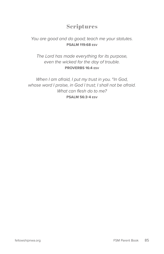#### *You are good and do good; teach me your statutes.*  **PSALM 119:68 ESV**

*The Lord has made everything for its purpose, even the wicked for the day of trouble.*  **PROVERBS 16:4 ESV**

*When I am afraid, I put my trust in you.* <sup>4</sup>*In God, whose word I praise, in God I trust; I shall not be afraid. What can flesh do to me?* **PSALM 56:3-4 ESV**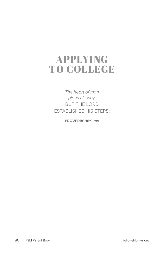# APPLYING TO COLLEGE

*The heart of man plans his way,*  BUT THE LORD ESTABLISHES HIS STEPS.

**PROVERBS 16:9 ESV**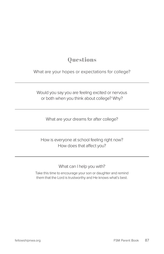What are your hopes or expectations for college?

Would you say you are feeling excited or nervous or both when you think about college? Why?

What are your dreams for after college?

How is everyone at school feeling right now? How does that affect you?

What can I help you with?

Take this time to encourage your son or daughter and remind them that the Lord is trustworthy and He knows what's best.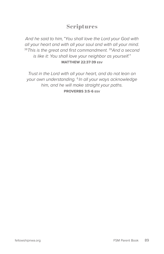*And he said to him, "You shall love the Lord your God with all your heart and with all your soul and with all your mind.*  <sup>38</sup>*This is the great and first commandment.* <sup>39</sup>*And a second is like it: You shall love your neighbor as yourself."*  **MATTHEW 22:37-39 ESV**

*Trust in the Lord with all your heart, and do not lean on your own understanding.* <sup>6</sup> *In all your ways acknowledge him, and he will make straight your paths.*  **PROVERBS 3:5-6 ESV**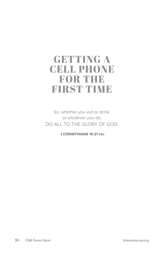# GETTING A CELL PHONE FOR THE FIRST TIME

*So, whether you eat or drink, or whatever you do,*  DO ALL TO THE GLORY OF GOD.

 **1 CORINTHIANS 10:31 ESV**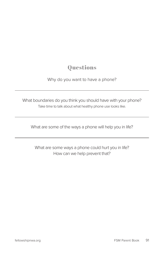#### Why do you want to have a phone?

What boundaries do you think you should have with your phone? Take time to talk about what healthy phone use looks like.

What are some of the ways a phone will help you in life?

What are some ways a phone could hurt you in life? How can we help prevent that?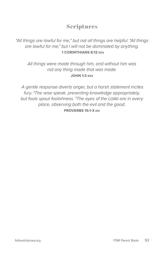*"All things are lawful for me," but not all things are helpful. "All things are lawful for me," but I will not be dominated by anything.*  **1 CORINTHIANS 6:12 ESV**

*All things were made through him, and without him was not any thing made that was made.*  **JOHN 1:3 ESV**

 *A gentle response diverts anger, but a harsh statement incites fury.* <sup>2</sup> *The wise speak, presenting knowledge appropriately, but fools spout foolishness.* <sup>3</sup> *The eyes of the Lord are in every place, observing both the evil and the good.*  **PROVERBS 15:1-3 ISV**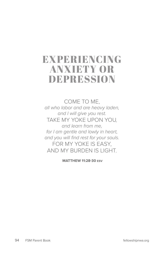# EXPERIENCING ANXIETY OR DEPRESSION

COME TO ME, *all who labor and are heavy laden, and I will give you rest.*  TAKE MY YOKE UPON YOU*, and learn from me, for I am gentle and lowly in heart, and you will find rest for your souls.*  FOR MY YOKE IS EASY, AND MY BURDEN IS LIGHT.

 **MATTHEW 11:28-30 ESV**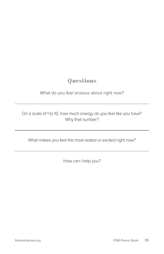What do you feel anxious about right now?

On a scale of 1 to 10, how much energy do you feel like you have? Why that number?

What makes you feel the most rested or excited right now?

How can I help you?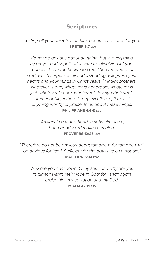*casting all your anxieties on him, because he cares for you.*  **1 PETER 5:7 ESV**

*do not be anxious about anything, but in everything by prayer and supplication with thanksgiving let your requests be made known to God.* <sup>7</sup> *And the peace of God, which surpasses all understanding, will guard your hearts and your minds in Christ Jesus.* <sup>8</sup>*Finally, brothers, whatever is true, whatever is honorable, whatever is just, whatever is pure, whatever is lovely, whatever is commendable, if there is any excellence, if there is anything worthy of praise, think about these things.*  **PHILIPPIANS 4:6-8 ESV**

> *Anxiety in a man's heart weighs him down, but a good word makes him glad.*  **PROVERBS 12:25 ESV**

*"Therefore do not be anxious about tomorrow, for tomorrow will be anxious for itself. Sufficient for the day is its own trouble."*  **MATTHEW 6:34 ESV**

*Why are you cast down, O my soul, and why are you in turmoil within me? Hope in God; for I shall again praise him, my salvation and my God.*  **PSALM 42:11 ESV**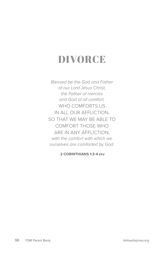# DIVORCE

*Blessed be the God and Father of our Lord Jesus Christ, the Father of mercies and God of all comfort,*  WHO COMFORTS US IN ALL OUR AFFLICTION, SO THAT WE MAY BE ABLE TO COMFORT THOSE WHO ARE IN ANY AFFLICTION, *with the comfort with which we ourselves are comforted by God.* 

 **2 CORINTHIANS 1:3-4 ESV**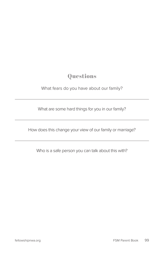What fears do you have about our family?

What are some hard things for you in our family?

How does this change your view of our family or marriage?

Who is a safe person you can talk about this with?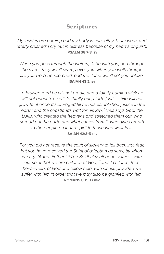*My insides are burning and my body is unhealthy.* <sup>8</sup>*I am weak and utterly crushed; I cry out in distress because of my heart's anguish.*  **PSALM 38:7-8 ISV**

*When you pass through the waters, I'll be with you; and through the rivers, they won't sweep over you. when you walk through fire you won't be scorched, and the flame won't set you ablaze.*  **ISAIAH 43:2 ISV**

 *a bruised reed he will not break, and a faintly burning wick he*  will not quench; he will faithfully bring forth justice. <sup>4</sup>He will not *grow faint or be discouraged till he has established justice in the earth; and the coastlands wait for his law.* <sup>5</sup> *Thus says God, the Lord, who created the heavens and stretched them out, who spread out the earth and what comes from it, who gives breath to the people on it and spirit to those who walk in it:*  **ISAIAH 42:3-5 ESV**

*For you did not receive the spirit of slavery to fall back into fear, but you have received the Spirit of adoption as sons, by whom we cry, "Abba! Father!"* <sup>16</sup>*The Spirit himself bears witness with our spirit that we are children of God,* <sup>17</sup>*and if children, then heirs—heirs of God and fellow heirs with Christ, provided we suffer with him in order that we may also be glorified with him.*  **ROMANS 8:15-17 ESV**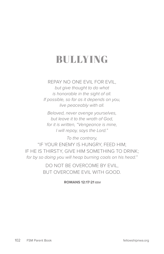# BULLYING

REPAY NO ONE EVIL FOR EVIL, *but give thought to do what is honorable in the sight of all. If possible, so far as it depends on you, live peaceably with all.* 

*Beloved, never avenge yourselves, but leave it to the wrath of God, for it is written, "Vengeance is mine, I will repay, says the Lord."* 

*To the contrary,*  "IF YOUR ENEMY IS HUNGRY, FEED HIM; IF HE IS THIRSTY, GIVE HIM SOMETHING TO DRINK; *for by so doing you will heap burning coals on his head."* 

> DO NOT BE OVERCOME BY EVIL, BUT OVERCOME EVIL WITH GOOD.

> > **ROMANS 12:17-21 ESV**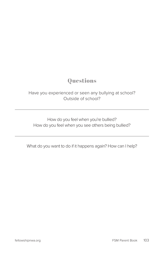#### Have you experienced or seen any bullying at school? Outside of school?

How do you feel when you're bullied? How do you feel when you see others being bullied?

What do you want to do if it happens again? How can I help?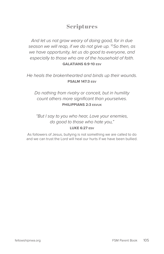*And let us not grow weary of doing good, for in due season we will reap, if we do not give up.* <sup>10</sup>*So then, as we have opportunity, let us do good to everyone, and especially to those who are of the household of faith.* **GALATIANS 6:9-10 ESV**

*He heals the brokenhearted and binds up their wounds.*  **PSALM 147:3 ESV**

*Do nothing from rivalry or conceit, but in humility count others more significant than yourselves.* **PHILIPPIANS 2:3 ESVUK**

*"But I say to you who hear, Love your enemies, do good to those who hate you,"*  **LUKE 6:27 ESV**

As followers of Jesus, bullying is not something we are called to do and we can trust the Lord will heal our hurts if we have been bullied.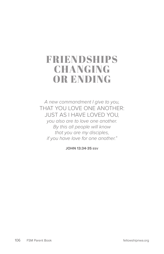# FRIENDSHIPS CHANGING OR ENDING

*A new commandment I give to you,*  THAT YOU LOVE ONE ANOTHER: JUST AS I HAVE LOVED YOU*, you also are to love one another.* 

*By this all people will know that you are my disciples, if you have love for one another."*

**JOHN 13:34-35 ESV**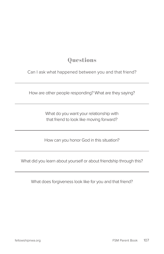Can I ask what happened between you and that friend?

How are other people responding? What are they saying?

What do you want your relationship with that friend to look like moving forward?

How can you honor God in this situation?

What did you learn about yourself or about friendship through this?

What does forgiveness look like for you and that friend?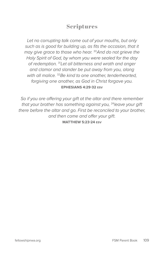*Let no corrupting talk come out of your mouths, but only*  such as is good for building up, as fits the occasion, that it *may give grace to those who hear.* <sup>30</sup>*And do not grieve the Holy Spirit of God, by whom you were sealed for the day of redemption.* <sup>31</sup>*Let all bitterness and wrath and anger and clamor and slander be put away from you, along with all malice.* <sup>32</sup>*Be kind to one another, tenderhearted, forgiving one another, as God in Christ forgave you.* **EPHESIANS 4:29-32 ESV**

*So if you are offering your gift at the altar and there remember that your brother has something against you,* <sup>24</sup>*leave your gift there before the altar and go. First be reconciled to your brother, and then come and offer your gift.*  **MATTHEW 5:23-24 ESV**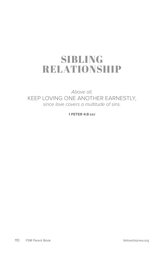# SIBLING RELATIONSHIP

*Above all,*  KEEP LOVING ONE ANOTHER EARNESTLY, *since love covers a multitude of sins.*

**1 PETER 4:8 ESV**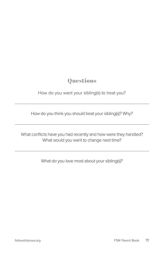How do you want your sibling(s) to treat you?

How do you think you should treat your sibling(s)? Why?

What conflicts have you had recently and how were they handled? What would you want to change next time?

What do you love most about your sibling(s)?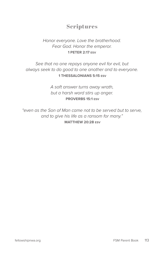### *Honor everyone. Love the brotherhood. Fear God. Honor the emperor.* **1 PETER 2:17 ESV**

#### *See that no one repays anyone evil for evil, but always seek to do good to one another and to everyone.*   **1 THESSALONIANS 5:15 ESV**

*A soft answer turns away wrath, but a harsh word stirs up anger.*   **PROVERBS 15:1 ESV**

*"even as the Son of Man came not to be served but to serve, and to give his life as a ransom for many."*   **MATTHEW 20:28 ESV**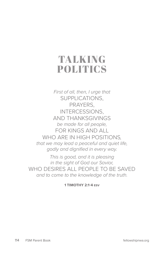# TALKING POLITICS

*First of all, then, I urge that*  SUPPLICATIONS, PRAYERS, INTERCESSIONS, AND THANKSGIVINGS *be made for all people,*  FOR KINGS AND ALL WHO ARE IN HIGH POSITIONS*, that we may lead a peaceful and quiet life, godly and dignified in every way.* 

*This is good, and it is pleasing in the sight of God our Savior,*  WHO DESIRES ALL PEOPLE TO BE SAVED *and to come to the knowledge of the truth.*

**1 TIMOTHY 2:1-4 ESV**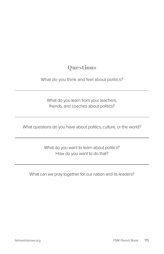### What do you think and feel about politics?

What do you learn from your teachers, friends, and coaches about politics?

What questions do you have about politics, culture, or the world?

What do you want to learn about politics? How do you want to do that?

What can we pray together for our nation and its leaders?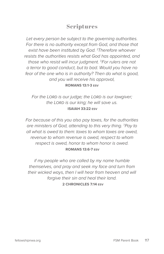*Let every person be subject to the governing authorities. For there is no authority except from God, and those that exist have been instituted by God.* <sup>2</sup> *Therefore whoever resists the authorities resists what God has appointed, and those who resist will incur judgment.* <sup>3</sup>*For rulers are not a terror to good conduct, but to bad. Would you have no*  fear of the one who is in authority? Then do what is good, *and you will receive his approval,* **ROMANS 13:1-3 ESV**

*For the Lord is our judge; the Lord is our lawgiver; the Lord is our king; he will save us.*   **ISAIAH 33:22 ESV**

*For because of this you also pay taxes, for the authorities are ministers of God, attending to this very thing.* <sup>7</sup> *Pay to all what is owed to them: taxes to whom taxes are owed, revenue to whom revenue is owed, respect to whom respect is owed, honor to whom honor is owed.*   **ROMANS 13:6-7 ESV**

*if my people who are called by my name humble themselves, and pray and seek my face and turn from their wicked ways, then I will hear from heaven and will forgive their sin and heal their land.*   **2 CHRONICLES 7:14 ESV**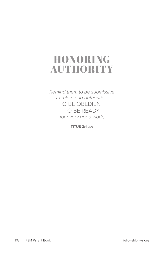# HONORING AUTHORITY

*Remind them to be submissive to rulers and authorities,*  TO BE OBEDIENT, TO BE READY *for every good work,* 

**TITUS 3:1 ESV**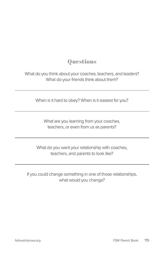What do you think about your coaches, teachers, and leaders? What do your friends think about them?

When is it hard to obey? When is it easiest for you?

What are you learning from your coaches, teachers, or even from us as parents?

What do you want your relationship with coaches, teachers, and parents to look like?

If you could change something in one of those relationships, what would you change?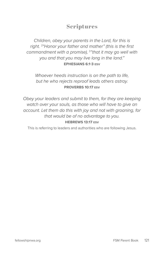*Children, obey your parents in the Lord, for this is right.* <sup>2</sup> *"Honor your father and mother" (this is the first commandment with a promise),* <sup>3</sup> *"that it may go well with you and that you may live long in the land."*  **EPHESIANS 6:1-3 ESV**

*Whoever heeds instruction is on the path to life, but he who rejects reproof leads others astray.*  **PROVERBS 10:17 ESV**

*Obey your leaders and submit to them, for they are keeping watch over your souls, as those who will have to give an account. Let them do this with joy and not with groaning, for that would be of no advantage to you.* **HEBREWS 13:17 ESV**

This is referring to leaders and authorities who are following Jesus.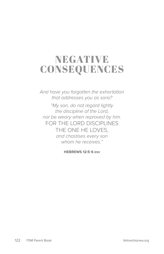# NEGATIVE CONSEQUENCES

*And have you forgotten the exhortation that addresses you as sons?* 

*"My son, do not regard lightly the discipline of the Lord, nor be weary when reproved by him.*  FOR THE LORD DISCIPLINES THE ONE HE LOVES, *and chastises every son whom he receives."*

**HEBREWS 12:5-6 ESV**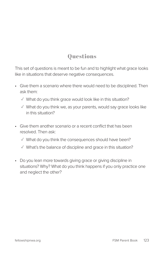This set of questions is meant to be fun and to highlight what grace looks like in situations that deserve negative consequences.

- Give them a scenario where there would need to be disciplined. Then ask them:
	- ✓ What do you think grace would look like in this situation?
	- $\sqrt{ }$  What do you think we, as your parents, would say grace looks like in this situation?
- Give them another scenario or a recent conflict that has been resolved. Then ask:
	- ✓ What do you think the consequences should have been?
	- ✓ What's the balance of discipline and grace in this situation?
- Do you lean more towards giving grace or giving discipline in situations? Why? What do you think happens if you only practice one and neglect the other?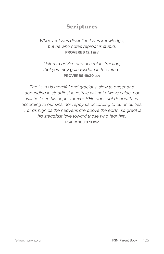#### *Whoever loves discipline loves knowledge, but he who hates reproof is stupid.*  **PROVERBS 12:1 ESV**

*Listen to advice and accept instruction, that you may gain wisdom in the future.*  **PROVERBS 19:20 ESV**

*The Lord is merciful and gracious, slow to anger and abounding in steadfast love.* <sup>9</sup>*He will not always chide, nor will he keep his anger forever.* <sup>10</sup>*He does not deal with us according to our sins, nor repay us according to our iniquities.*  <sup>11</sup>*For as high as the heavens are above the earth, so great is his steadfast love toward those who fear him;* **PSALM 103:8-11 ESV**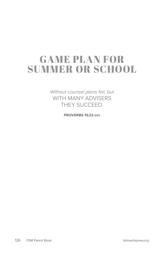# GAME PLAN FOR SUMMER OR SCHOOL

*Without counsel plans fail, but*  WITH MANY ADVISERS THEY SUCCEED.

**PROVERBS 15:22 ESV**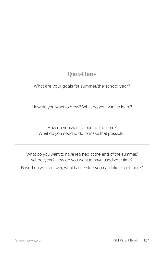### What are your goals for summer/the school year?

How do you want to grow? What do you want to learn?

How do you want to pursue the Lord? What do you need to do to make that possible?

What do you want to have learned at the end of the summer/ school year? How do you want to have used your time?

Based on your answer, what is one step you can take to get there?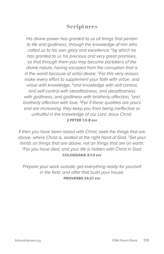*His divine power has granted to us all things that pertain to life and godliness, through the knowledge of him who called us to his own glory and excellence,* <sup>4</sup>*by which he has granted to us his precious and very great promises, so that through them you may become partakers of the divine nature, having escaped from the corruption that is in the world because of sinful desire.* <sup>5</sup>*For this very reason, make every effort to supplement your faith with virtue, and virtue with knowledge,* <sup>6</sup>*and knowledge with self-control, and self-control with steadfastness, and steadfastness*  with godliness, and godliness with brotherly affection, <sup>7</sup>and *brotherly affection with love.* <sup>8</sup>*For if these qualities are yours and are increasing, they keep you from being ineffective or unfruitful in the knowledge of our Lord Jesus Christ.* **2 PETER 1:3-8 ESV**

*If then you have been raised with Christ, seek the things that are above, where Christ is, seated at the right hand of God.* <sup>2</sup>*Set your minds on things that are above, not on things that are on earth.*  <sup>3</sup>*For you have died, and your life is hidden with Christ in God.*  **COLOSSIANS 3:1-3 ESV**

*Prepare your work outside; get everything ready for yourself in the field, and after that build your house.* **PROVERBS 24:27 ESV**